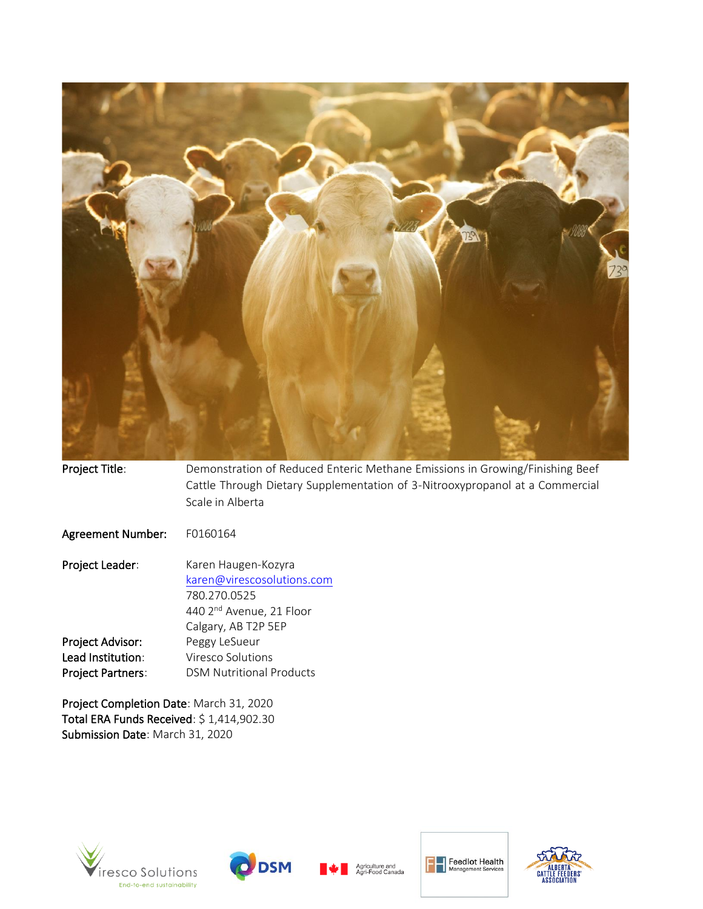

Project Title: Demonstration of Reduced Enteric Methane Emissions in Growing/Finishing Beef Cattle Through Dietary Supplementation of 3-Nitrooxypropanol at a Commercial Scale in Alberta Agreement Number: F0160164 Project Leader: Karen Haugen-Kozyra [karen@virescosolutions.com](mailto:karen@virescosolutions.com) 780.270.0525 440 2nd Avenue, 21 Floor Calgary, AB T2P 5EP Project Advisor: Peggy LeSueur Lead Institution: Viresco Solutions Project Partners: DSM Nutritional Products

Project Completion Date: March 31, 2020 Total ERA Funds Received: \$ 1,414,902.30 Submission Date: March 31, 2020









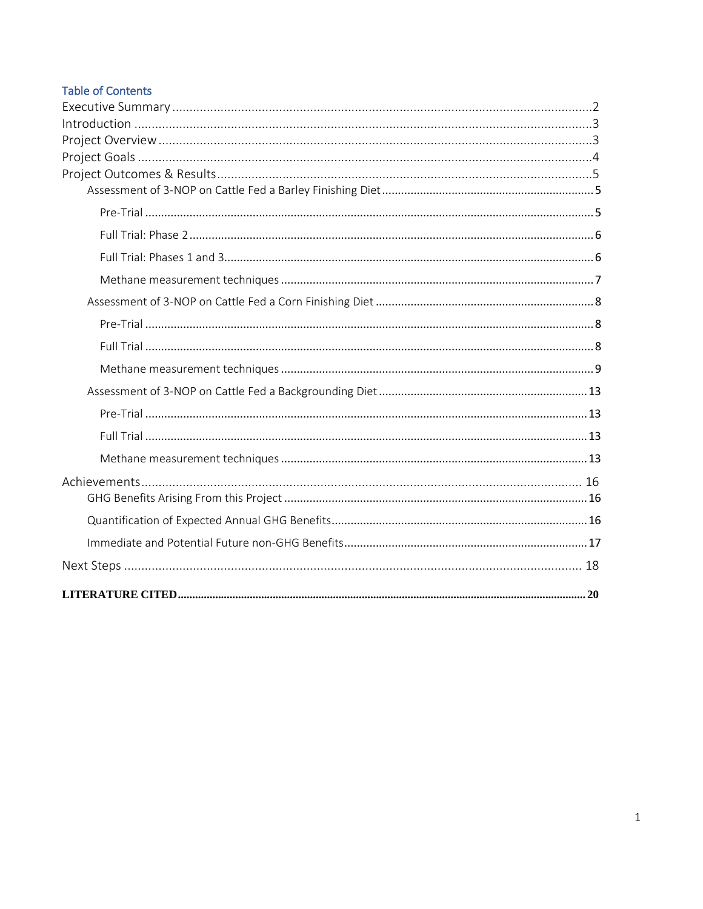# **Table of Contents**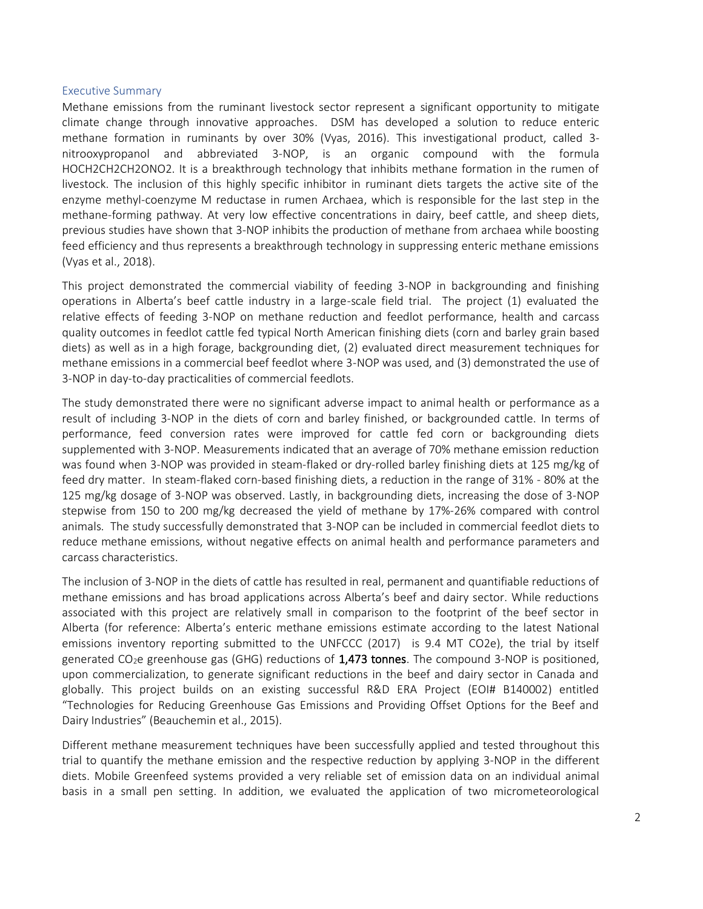#### <span id="page-2-0"></span>Executive Summary

Methane emissions from the ruminant livestock sector represent a significant opportunity to mitigate climate change through innovative approaches. DSM has developed a solution to reduce enteric methane formation in ruminants by over 30% (Vyas, 2016). This investigational product, called 3 nitrooxypropanol and abbreviated 3-NOP, is an organic compound with the formula HOCH2CH2CH2ONO2. It is a breakthrough technology that inhibits methane formation in the rumen of livestock. The inclusion of this highly specific inhibitor in ruminant diets targets the active site of the enzyme methyl-coenzyme M reductase in rumen Archaea, which is responsible for the last step in the methane-forming pathway. At very low effective concentrations in dairy, beef cattle, and sheep diets, previous studies have shown that 3-NOP inhibits the production of methane from archaea while boosting feed efficiency and thus represents a breakthrough technology in suppressing enteric methane emissions (Vyas et al., 2018).

This project demonstrated the commercial viability of feeding 3-NOP in backgrounding and finishing operations in Alberta's beef cattle industry in a large-scale field trial. The project (1) evaluated the relative effects of feeding 3-NOP on methane reduction and feedlot performance, health and carcass quality outcomes in feedlot cattle fed typical North American finishing diets (corn and barley grain based diets) as well as in a high forage, backgrounding diet, (2) evaluated direct measurement techniques for methane emissions in a commercial beef feedlot where 3-NOP was used, and (3) demonstrated the use of 3-NOP in day-to-day practicalities of commercial feedlots.

The study demonstrated there were no significant adverse impact to animal health or performance as a result of including 3-NOP in the diets of corn and barley finished, or backgrounded cattle. In terms of performance, feed conversion rates were improved for cattle fed corn or backgrounding diets supplemented with 3-NOP. Measurements indicated that an average of 70% methane emission reduction was found when 3-NOP was provided in steam-flaked or dry-rolled barley finishing diets at 125 mg/kg of feed dry matter. In steam-flaked corn-based finishing diets, a reduction in the range of 31% - 80% at the 125 mg/kg dosage of 3-NOP was observed. Lastly, in backgrounding diets, increasing the dose of 3-NOP stepwise from 150 to 200 mg/kg decreased the yield of methane by 17%-26% compared with control animals. The study successfully demonstrated that 3-NOP can be included in commercial feedlot diets to reduce methane emissions, without negative effects on animal health and performance parameters and carcass characteristics.

The inclusion of 3-NOP in the diets of cattle has resulted in real, permanent and quantifiable reductions of methane emissions and has broad applications across Alberta's beef and dairy sector. While reductions associated with this project are relatively small in comparison to the footprint of the beef sector in Alberta (for reference: Alberta's enteric methane emissions estimate according to the latest National emissions inventory reporting submitted to the UNFCCC (2017) is 9.4 MT CO2e), the trial by itself generated  $CO<sub>2</sub>e$  greenhouse gas (GHG) reductions of 1,473 tonnes. The compound 3-NOP is positioned, upon commercialization, to generate significant reductions in the beef and dairy sector in Canada and globally. This project builds on an existing successful R&D ERA Project (EOI# B140002) entitled "Technologies for Reducing Greenhouse Gas Emissions and Providing Offset Options for the Beef and Dairy Industries" (Beauchemin et al., 2015).

Different methane measurement techniques have been successfully applied and tested throughout this trial to quantify the methane emission and the respective reduction by applying 3-NOP in the different diets. Mobile Greenfeed systems provided a very reliable set of emission data on an individual animal basis in a small pen setting. In addition, we evaluated the application of two micrometeorological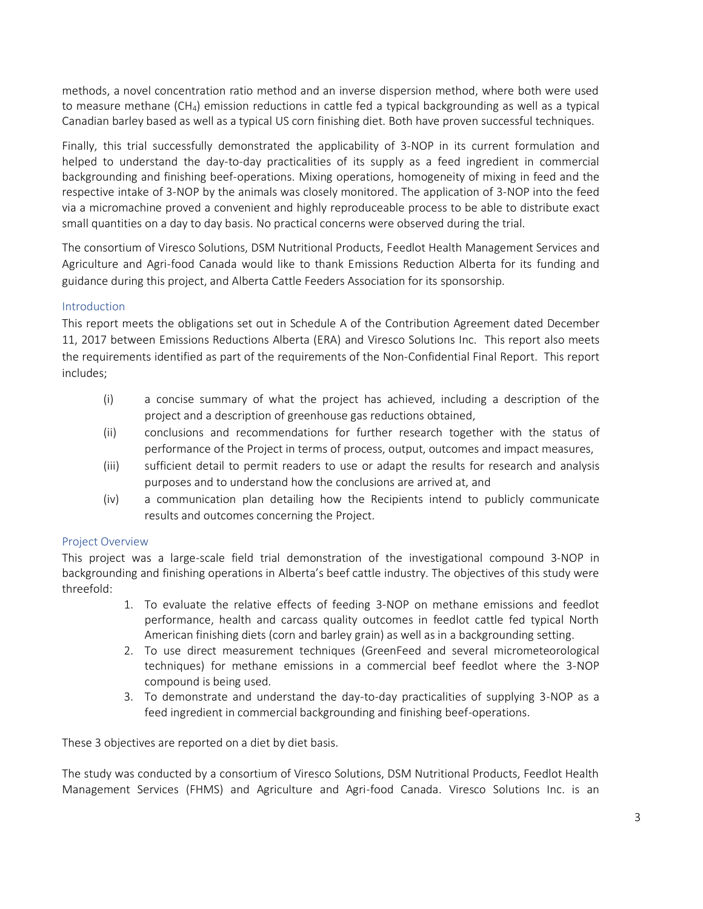methods, a novel concentration ratio method and an inverse dispersion method, where both were used to measure methane (CH4) emission reductions in cattle fed a typical backgrounding as well as a typical Canadian barley based as well as a typical US corn finishing diet. Both have proven successful techniques.

Finally, this trial successfully demonstrated the applicability of 3-NOP in its current formulation and helped to understand the day-to-day practicalities of its supply as a feed ingredient in commercial backgrounding and finishing beef-operations. Mixing operations, homogeneity of mixing in feed and the respective intake of 3-NOP by the animals was closely monitored. The application of 3-NOP into the feed via a micromachine proved a convenient and highly reproduceable process to be able to distribute exact small quantities on a day to day basis. No practical concerns were observed during the trial.

The consortium of Viresco Solutions, DSM Nutritional Products, Feedlot Health Management Services and Agriculture and Agri-food Canada would like to thank Emissions Reduction Alberta for its funding and guidance during this project, and Alberta Cattle Feeders Association for its sponsorship.

# <span id="page-3-0"></span>Introduction

This report meets the obligations set out in Schedule A of the Contribution Agreement dated December 11, 2017 between Emissions Reductions Alberta (ERA) and Viresco Solutions Inc. This report also meets the requirements identified as part of the requirements of the Non‐Confidential Final Report. This report includes;

- (i) a concise summary of what the project has achieved, including a description of the project and a description of greenhouse gas reductions obtained,
- (ii) conclusions and recommendations for further research together with the status of performance of the Project in terms of process, output, outcomes and impact measures,
- (iii) sufficient detail to permit readers to use or adapt the results for research and analysis purposes and to understand how the conclusions are arrived at, and
- (iv) a communication plan detailing how the Recipients intend to publicly communicate results and outcomes concerning the Project.

# <span id="page-3-1"></span>Project Overview

This project was a large-scale field trial demonstration of the investigational compound 3-NOP in backgrounding and finishing operations in Alberta's beef cattle industry. The objectives of this study were threefold:

- 1. To evaluate the relative effects of feeding 3-NOP on methane emissions and feedlot performance, health and carcass quality outcomes in feedlot cattle fed typical North American finishing diets (corn and barley grain) as well as in a backgrounding setting.
- 2. To use direct measurement techniques (GreenFeed and several micrometeorological techniques) for methane emissions in a commercial beef feedlot where the 3-NOP compound is being used.
- 3. To demonstrate and understand the day-to-day practicalities of supplying 3-NOP as a feed ingredient in commercial backgrounding and finishing beef-operations.

These 3 objectives are reported on a diet by diet basis.

The study was conducted by a consortium of Viresco Solutions, DSM Nutritional Products, Feedlot Health Management Services (FHMS) and Agriculture and Agri-food Canada. Viresco Solutions Inc. is an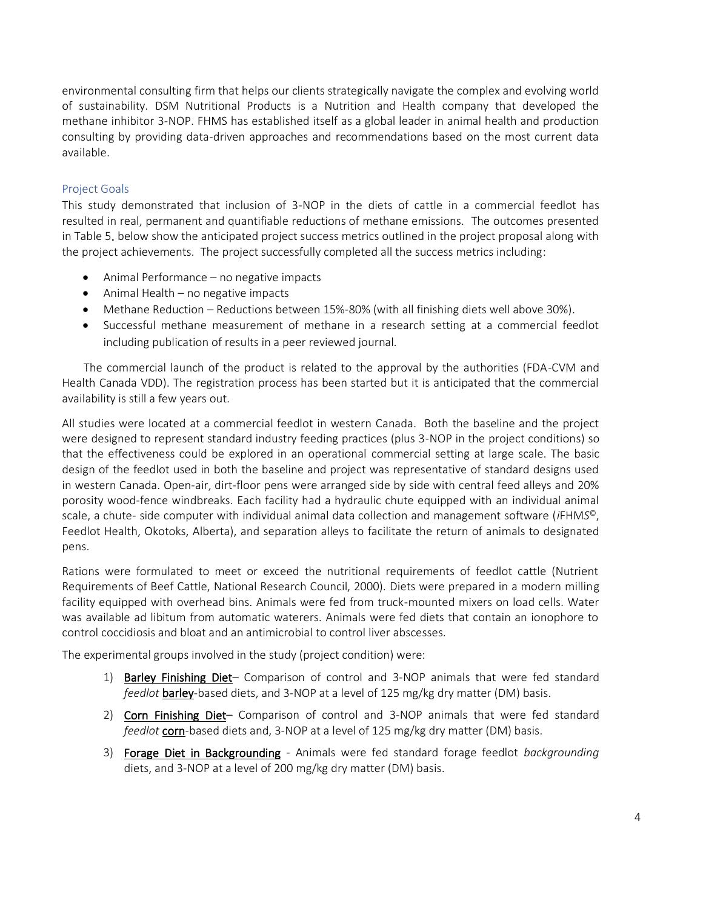environmental consulting firm that helps our clients strategically navigate the complex and evolving world of sustainability. DSM Nutritional Products is a Nutrition and Health company that developed the methane inhibitor 3-NOP. FHMS has established itself as a global leader in animal health and production consulting by providing data-driven approaches and recommendations based on the most current data available.

# <span id="page-4-0"></span>Project Goals

This study demonstrated that inclusion of 3-NOP in the diets of cattle in a commercial feedlot has resulted in real, permanent and quantifiable reductions of methane emissions. The outcomes presented in Table 5. below show the anticipated project success metrics outlined in the project proposal along with the project achievements. The project successfully completed all the success metrics including:

- Animal Performance no negative impacts
- Animal Health no negative impacts
- Methane Reduction Reductions between 15%-80% (with all finishing diets well above 30%).
- Successful methane measurement of methane in a research setting at a commercial feedlot including publication of results in a peer reviewed journal.

 The commercial launch of the product is related to the approval by the authorities (FDA-CVM and Health Canada VDD). The registration process has been started but it is anticipated that the commercial availability is still a few years out.

All studies were located at a commercial feedlot in western Canada. Both the baseline and the project were designed to represent standard industry feeding practices (plus 3-NOP in the project conditions) so that the effectiveness could be explored in an operational commercial setting at large scale. The basic design of the feedlot used in both the baseline and project was representative of standard designs used in western Canada. Open-air, dirt-floor pens were arranged side by side with central feed alleys and 20% porosity wood-fence windbreaks. Each facility had a hydraulic chute equipped with an individual animal scale, a chute- side computer with individual animal data collection and management software (*i*FHM*S* ©, Feedlot Health, Okotoks, Alberta), and separation alleys to facilitate the return of animals to designated pens.

Rations were formulated to meet or exceed the nutritional requirements of feedlot cattle (Nutrient Requirements of Beef Cattle, National Research Council, 2000). Diets were prepared in a modern milling facility equipped with overhead bins. Animals were fed from truck-mounted mixers on load cells. Water was available ad libitum from automatic waterers. Animals were fed diets that contain an ionophore to control coccidiosis and bloat and an antimicrobial to control liver abscesses.

The experimental groups involved in the study (project condition) were:

- 1) Barley Finishing Diet– Comparison of control and 3-NOP animals that were fed standard *feedlot* barley-based diets, and 3-NOP at a level of 125 mg/kg dry matter (DM) basis.
- 2) Corn Finishing Diet- Comparison of control and 3-NOP animals that were fed standard feedlot corn-based diets and, 3-NOP at a level of 125 mg/kg dry matter (DM) basis.
- 3) Forage Diet in Backgrounding Animals were fed standard forage feedlot *backgrounding* diets, and 3-NOP at a level of 200 mg/kg dry matter (DM) basis.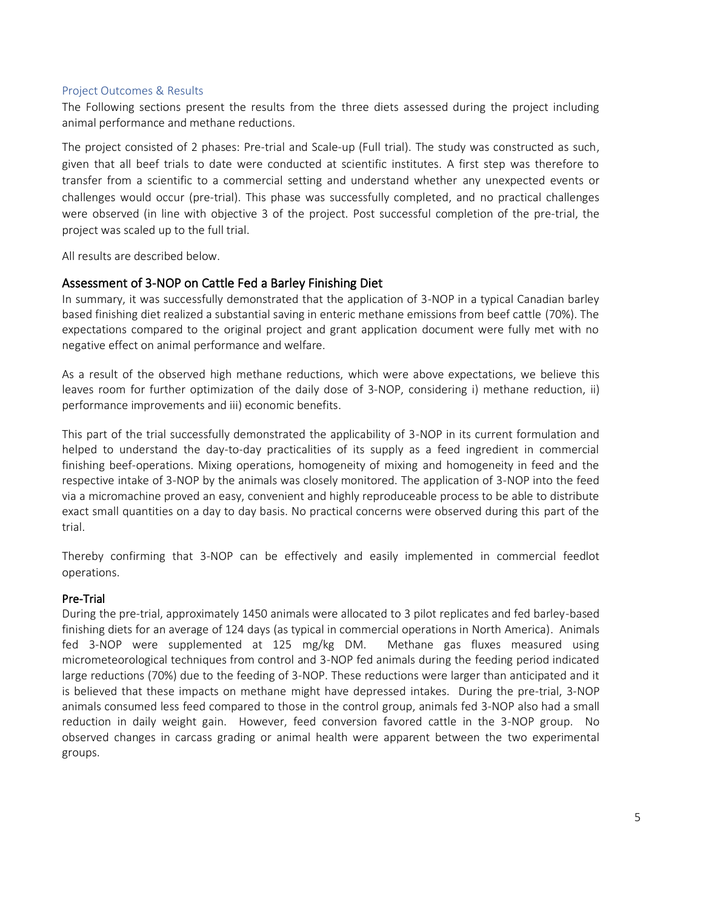#### <span id="page-5-0"></span>Project Outcomes & Results

The Following sections present the results from the three diets assessed during the project including animal performance and methane reductions.

The project consisted of 2 phases: Pre-trial and Scale-up (Full trial). The study was constructed as such, given that all beef trials to date were conducted at scientific institutes. A first step was therefore to transfer from a scientific to a commercial setting and understand whether any unexpected events or challenges would occur (pre-trial). This phase was successfully completed, and no practical challenges were observed (in line with objective 3 of the project. Post successful completion of the pre-trial, the project was scaled up to the full trial.

All results are described below.

# <span id="page-5-1"></span>Assessment of 3-NOP on Cattle Fed a Barley Finishing Diet

<span id="page-5-2"></span>In summary, it was successfully demonstrated that the application of 3-NOP in a typical Canadian barley based finishing diet realized a substantial saving in enteric methane emissions from beef cattle (70%). The expectations compared to the original project and grant application document were fully met with no negative effect on animal performance and welfare.

As a result of the observed high methane reductions, which were above expectations, we believe this leaves room for further optimization of the daily dose of 3-NOP, considering i) methane reduction, ii) performance improvements and iii) economic benefits.

This part of the trial successfully demonstrated the applicability of 3-NOP in its current formulation and helped to understand the day-to-day practicalities of its supply as a feed ingredient in commercial finishing beef-operations. Mixing operations, homogeneity of mixing and homogeneity in feed and the respective intake of 3-NOP by the animals was closely monitored. The application of 3-NOP into the feed via a micromachine proved an easy, convenient and highly reproduceable process to be able to distribute exact small quantities on a day to day basis. No practical concerns were observed during this part of the trial.

Thereby confirming that 3-NOP can be effectively and easily implemented in commercial feedlot operations.

### Pre-Trial

During the pre-trial, approximately 1450 animals were allocated to 3 pilot replicates and fed barley-based finishing diets for an average of 124 days (as typical in commercial operations in North America). Animals fed 3-NOP were supplemented at 125 mg/kg DM. Methane gas fluxes measured using micrometeorological techniques from control and 3-NOP fed animals during the feeding period indicated large reductions (70%) due to the feeding of 3-NOP. These reductions were larger than anticipated and it is believed that these impacts on methane might have depressed intakes. During the pre-trial, 3-NOP animals consumed less feed compared to those in the control group, animals fed 3-NOP also had a small reduction in daily weight gain. However, feed conversion favored cattle in the 3-NOP group. No observed changes in carcass grading or animal health were apparent between the two experimental groups.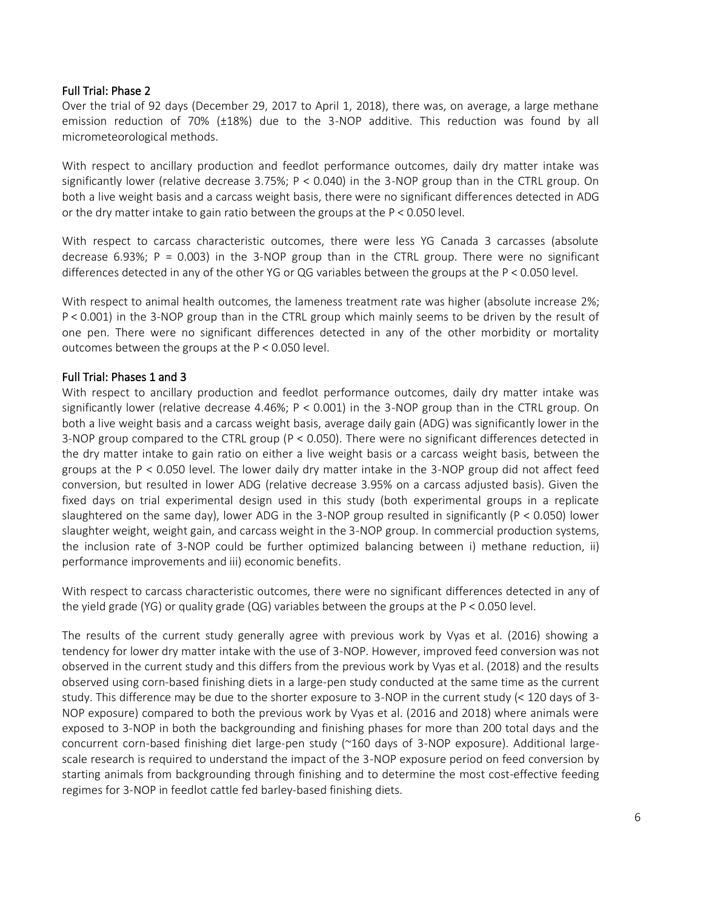#### <span id="page-6-0"></span>Full Trial: Phase 2

Over the trial of 92 days (December 29, 2017 to April 1, 2018), there was, on average, a large methane emission reduction of 70% (±18%) due to the 3-NOP additive. This reduction was found by all micrometeorological methods.

With respect to ancillary production and feedlot performance outcomes, daily dry matter intake was significantly lower (relative decrease 3.75%; P < 0.040) in the 3-NOP group than in the CTRL group. On both a live weight basis and a carcass weight basis, there were no significant differences detected in ADG or the dry matter intake to gain ratio between the groups at the P < 0.050 level.

With respect to carcass characteristic outcomes, there were less YG Canada 3 carcasses (absolute decrease 6.93%;  $P = 0.003$ ) in the 3-NOP group than in the CTRL group. There were no significant differences detected in any of the other YG or QG variables between the groups at the P < 0.050 level.

With respect to animal health outcomes, the lameness treatment rate was higher (absolute increase 2%; P < 0.001) in the 3-NOP group than in the CTRL group which mainly seems to be driven by the result of one pen. There were no significant differences detected in any of the other morbidity or mortality outcomes between the groups at the P < 0.050 level.

### <span id="page-6-1"></span>Full Trial: Phases 1 and 3

With respect to ancillary production and feedlot performance outcomes, daily dry matter intake was significantly lower (relative decrease 4.46%; P < 0.001) in the 3-NOP group than in the CTRL group. On both a live weight basis and a carcass weight basis, average daily gain (ADG) was significantly lower in the 3-NOP group compared to the CTRL group (P < 0.050). There were no significant differences detected in the dry matter intake to gain ratio on either a live weight basis or a carcass weight basis, between the groups at the P < 0.050 level. The lower daily dry matter intake in the 3-NOP group did not affect feed conversion, but resulted in lower ADG (relative decrease 3.95% on a carcass adjusted basis). Given the fixed days on trial experimental design used in this study (both experimental groups in a replicate slaughtered on the same day), lower ADG in the 3-NOP group resulted in significantly (P < 0.050) lower slaughter weight, weight gain, and carcass weight in the 3-NOP group. In commercial production systems, the inclusion rate of 3-NOP could be further optimized balancing between i) methane reduction, ii) performance improvements and iii) economic benefits.

With respect to carcass characteristic outcomes, there were no significant differences detected in any of the yield grade (YG) or quality grade (QG) variables between the groups at the P < 0.050 level.

The results of the current study generally agree with previous work by Vyas et al. (2016) showing a tendency for lower dry matter intake with the use of 3-NOP. However, improved feed conversion was not observed in the current study and this differs from the previous work by Vyas et al. (2018) and the results observed using corn-based finishing diets in a large-pen study conducted at the same time as the current study. This difference may be due to the shorter exposure to 3-NOP in the current study (< 120 days of 3- NOP exposure) compared to both the previous work by Vyas et al. (2016 and 2018) where animals were exposed to 3-NOP in both the backgrounding and finishing phases for more than 200 total days and the concurrent corn-based finishing diet large-pen study (~160 days of 3-NOP exposure). Additional largescale research is required to understand the impact of the 3-NOP exposure period on feed conversion by starting animals from backgrounding through finishing and to determine the most cost-effective feeding regimes for 3-NOP in feedlot cattle fed barley-based finishing diets.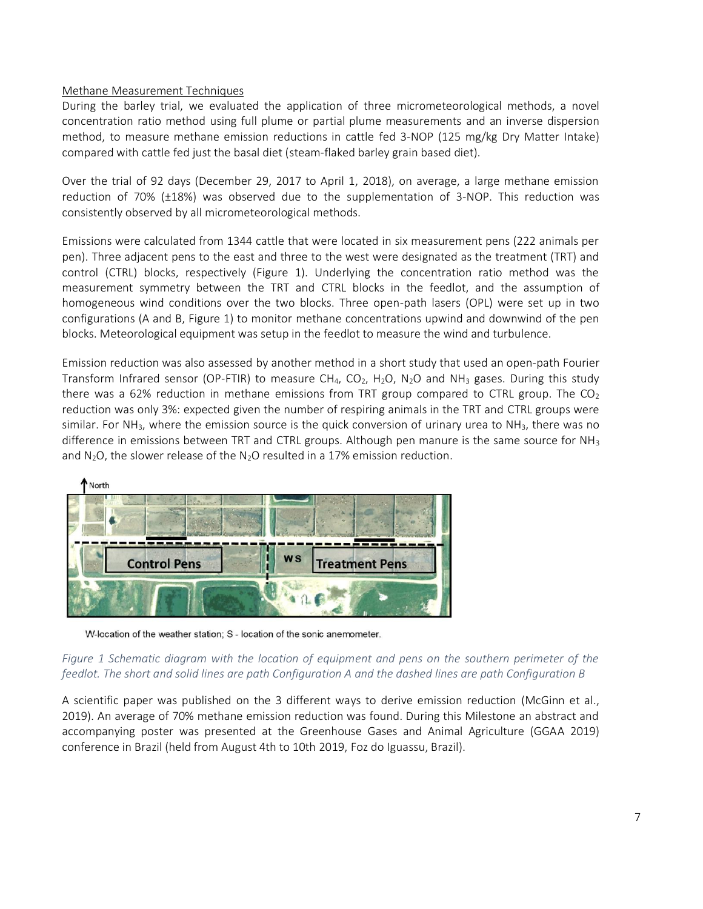### <span id="page-7-0"></span>Methane Measurement Techniques

During the barley trial, we evaluated the application of three micrometeorological methods, a novel concentration ratio method using full plume or partial plume measurements and an inverse dispersion method, to measure methane emission reductions in cattle fed 3-NOP (125 mg/kg Dry Matter Intake) compared with cattle fed just the basal diet (steam-flaked barley grain based diet).

Over the trial of 92 days (December 29, 2017 to April 1, 2018), on average, a large methane emission reduction of 70% (±18%) was observed due to the supplementation of 3-NOP. This reduction was consistently observed by all micrometeorological methods.

Emissions were calculated from 1344 cattle that were located in six measurement pens (222 animals per pen). Three adjacent pens to the east and three to the west were designated as the treatment (TRT) and control (CTRL) blocks, respectively (Figure 1). Underlying the concentration ratio method was the measurement symmetry between the TRT and CTRL blocks in the feedlot, and the assumption of homogeneous wind conditions over the two blocks. Three open-path lasers (OPL) were set up in two configurations (A and B, Figure 1) to monitor methane concentrations upwind and downwind of the pen blocks. Meteorological equipment was setup in the feedlot to measure the wind and turbulence.

Emission reduction was also assessed by another method in a short study that used an open-path Fourier Transform Infrared sensor (OP-FTIR) to measure CH<sub>4</sub>, CO<sub>2</sub>, H<sub>2</sub>O, N<sub>2</sub>O and NH<sub>3</sub> gases. During this study there was a 62% reduction in methane emissions from TRT group compared to CTRL group. The  $CO<sub>2</sub>$ reduction was only 3%: expected given the number of respiring animals in the TRT and CTRL groups were similar. For NH<sub>3</sub>, where the emission source is the quick conversion of urinary urea to NH<sub>3</sub>, there was no difference in emissions between TRT and CTRL groups. Although pen manure is the same source for  $NH<sub>3</sub>$ and  $N_2O$ , the slower release of the  $N_2O$  resulted in a 17% emission reduction.



W-location of the weather station; S - location of the sonic anemometer.

### *Figure 1 Schematic diagram with the location of equipment and pens on the southern perimeter of the feedlot. The short and solid lines are path Configuration A and the dashed lines are path Configuration B*

A scientific paper was published on the 3 different ways to derive emission reduction (McGinn et al., 2019). An average of 70% methane emission reduction was found. During this Milestone an abstract and accompanying poster was presented at the Greenhouse Gases and Animal Agriculture (GGAA 2019) conference in Brazil (held from August 4th to 10th 2019, Foz do Iguassu, Brazil).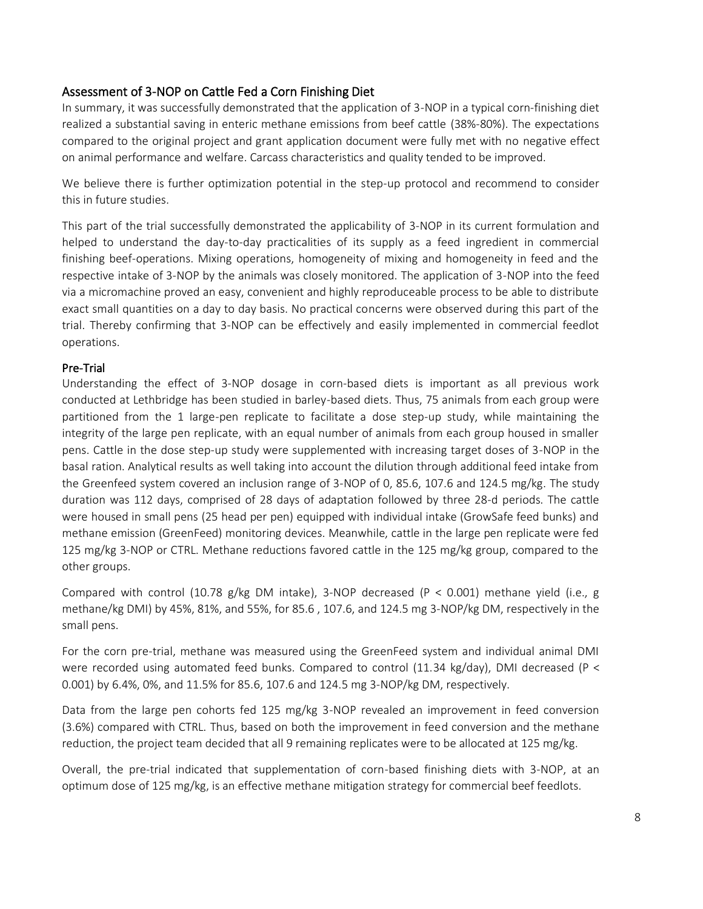# <span id="page-8-0"></span>Assessment of 3-NOP on Cattle Fed a Corn Finishing Diet

In summary, it was successfully demonstrated that the application of 3-NOP in a typical corn-finishing diet realized a substantial saving in enteric methane emissions from beef cattle (38%-80%). The expectations compared to the original project and grant application document were fully met with no negative effect on animal performance and welfare. Carcass characteristics and quality tended to be improved.

We believe there is further optimization potential in the step-up protocol and recommend to consider this in future studies.

This part of the trial successfully demonstrated the applicability of 3-NOP in its current formulation and helped to understand the day-to-day practicalities of its supply as a feed ingredient in commercial finishing beef-operations. Mixing operations, homogeneity of mixing and homogeneity in feed and the respective intake of 3-NOP by the animals was closely monitored. The application of 3-NOP into the feed via a micromachine proved an easy, convenient and highly reproduceable process to be able to distribute exact small quantities on a day to day basis. No practical concerns were observed during this part of the trial. Thereby confirming that 3-NOP can be effectively and easily implemented in commercial feedlot operations.

# <span id="page-8-1"></span>Pre-Trial

<span id="page-8-2"></span>Understanding the effect of 3-NOP dosage in corn-based diets is important as all previous work conducted at Lethbridge has been studied in barley-based diets. Thus, 75 animals from each group were partitioned from the 1 large-pen replicate to facilitate a dose step-up study, while maintaining the integrity of the large pen replicate, with an equal number of animals from each group housed in smaller pens. Cattle in the dose step-up study were supplemented with increasing target doses of 3-NOP in the basal ration. Analytical results as well taking into account the dilution through additional feed intake from the Greenfeed system covered an inclusion range of 3-NOP of 0, 85.6, 107.6 and 124.5 mg/kg. The study duration was 112 days, comprised of 28 days of adaptation followed by three 28-d periods. The cattle were housed in small pens (25 head per pen) equipped with individual intake (GrowSafe feed bunks) and methane emission (GreenFeed) monitoring devices. Meanwhile, cattle in the large pen replicate were fed 125 mg/kg 3-NOP or CTRL. Methane reductions favored cattle in the 125 mg/kg group, compared to the other groups.

Compared with control (10.78 g/kg DM intake), 3-NOP decreased (P < 0.001) methane yield (i.e., g methane/kg DMI) by 45%, 81%, and 55%, for 85.6 , 107.6, and 124.5 mg 3-NOP/kg DM, respectively in the small pens.

For the corn pre-trial, methane was measured using the GreenFeed system and individual animal DMI were recorded using automated feed bunks. Compared to control (11.34 kg/day), DMI decreased (P < 0.001) by 6.4%, 0%, and 11.5% for 85.6, 107.6 and 124.5 mg 3-NOP/kg DM, respectively.

Data from the large pen cohorts fed 125 mg/kg 3-NOP revealed an improvement in feed conversion (3.6%) compared with CTRL. Thus, based on both the improvement in feed conversion and the methane reduction, the project team decided that all 9 remaining replicates were to be allocated at 125 mg/kg.

Overall, the pre-trial indicated that supplementation of corn-based finishing diets with 3-NOP, at an optimum dose of 125 mg/kg, is an effective methane mitigation strategy for commercial beef feedlots.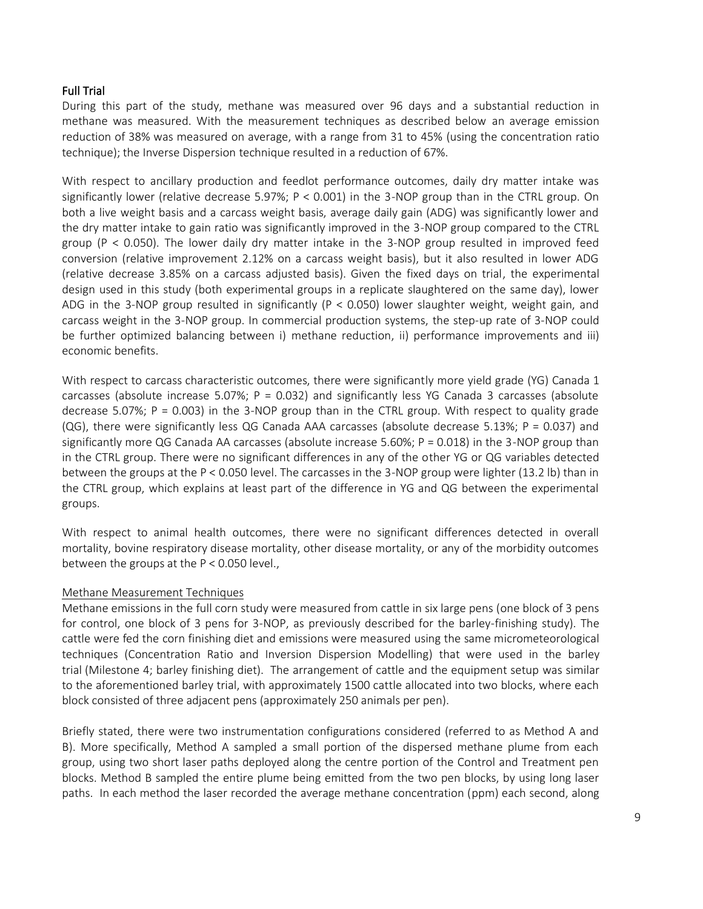### Full Trial

During this part of the study, methane was measured over 96 days and a substantial reduction in methane was measured. With the measurement techniques as described below an average emission reduction of 38% was measured on average, with a range from 31 to 45% (using the concentration ratio technique); the Inverse Dispersion technique resulted in a reduction of 67%.

With respect to ancillary production and feedlot performance outcomes, daily dry matter intake was significantly lower (relative decrease 5.97%; P < 0.001) in the 3-NOP group than in the CTRL group. On both a live weight basis and a carcass weight basis, average daily gain (ADG) was significantly lower and the dry matter intake to gain ratio was significantly improved in the 3-NOP group compared to the CTRL group (P < 0.050). The lower daily dry matter intake in the 3-NOP group resulted in improved feed conversion (relative improvement 2.12% on a carcass weight basis), but it also resulted in lower ADG (relative decrease 3.85% on a carcass adjusted basis). Given the fixed days on trial, the experimental design used in this study (both experimental groups in a replicate slaughtered on the same day), lower ADG in the 3-NOP group resulted in significantly ( $P < 0.050$ ) lower slaughter weight, weight gain, and carcass weight in the 3-NOP group. In commercial production systems, the step-up rate of 3-NOP could be further optimized balancing between i) methane reduction, ii) performance improvements and iii) economic benefits.

With respect to carcass characteristic outcomes, there were significantly more yield grade (YG) Canada 1 carcasses (absolute increase 5.07%;  $P = 0.032$ ) and significantly less YG Canada 3 carcasses (absolute decrease 5.07%;  $P = 0.003$ ) in the 3-NOP group than in the CTRL group. With respect to quality grade (QG), there were significantly less QG Canada AAA carcasses (absolute decrease 5.13%; P = 0.037) and significantly more QG Canada AA carcasses (absolute increase 5.60%; P = 0.018) in the 3-NOP group than in the CTRL group. There were no significant differences in any of the other YG or QG variables detected between the groups at the P < 0.050 level. The carcasses in the 3-NOP group were lighter (13.2 lb) than in the CTRL group, which explains at least part of the difference in YG and QG between the experimental groups.

With respect to animal health outcomes, there were no significant differences detected in overall mortality, bovine respiratory disease mortality, other disease mortality, or any of the morbidity outcomes between the groups at the P < 0.050 level.,

#### <span id="page-9-0"></span>Methane Measurement Techniques

Methane emissions in the full corn study were measured from cattle in six large pens (one block of 3 pens for control, one block of 3 pens for 3-NOP, as previously described for the barley-finishing study). The cattle were fed the corn finishing diet and emissions were measured using the same micrometeorological techniques (Concentration Ratio and Inversion Dispersion Modelling) that were used in the barley trial (Milestone 4; barley finishing diet). The arrangement of cattle and the equipment setup was similar to the aforementioned barley trial, with approximately 1500 cattle allocated into two blocks, where each block consisted of three adjacent pens (approximately 250 animals per pen).

Briefly stated, there were two instrumentation configurations considered (referred to as Method A and B). More specifically, Method A sampled a small portion of the dispersed methane plume from each group, using two short laser paths deployed along the centre portion of the Control and Treatment pen blocks. Method B sampled the entire plume being emitted from the two pen blocks, by using long laser paths. In each method the laser recorded the average methane concentration (ppm) each second, along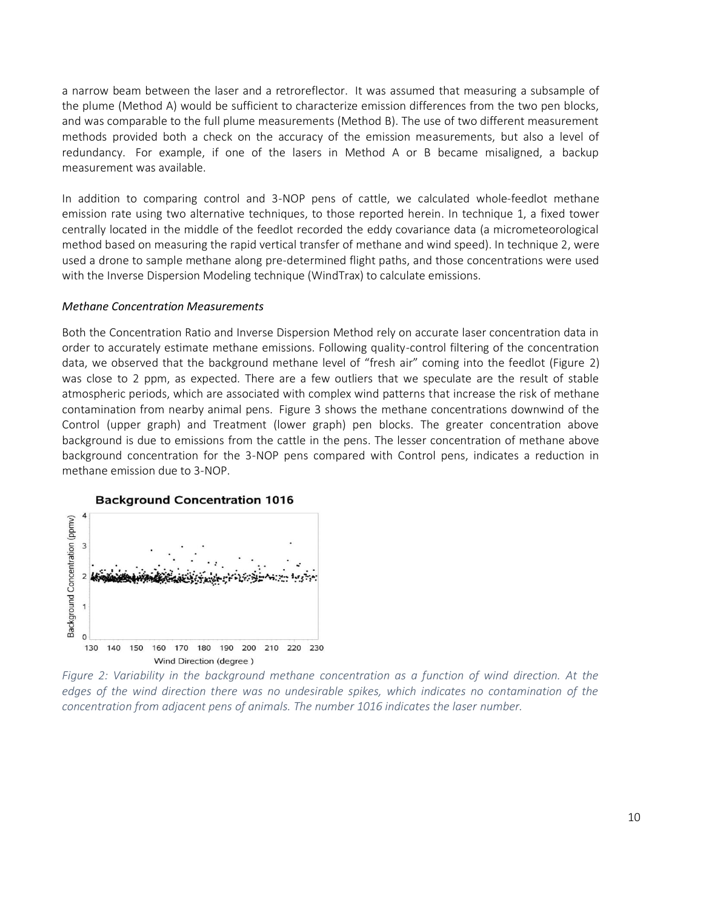a narrow beam between the laser and a retroreflector. It was assumed that measuring a subsample of the plume (Method A) would be sufficient to characterize emission differences from the two pen blocks, and was comparable to the full plume measurements (Method B). The use of two different measurement methods provided both a check on the accuracy of the emission measurements, but also a level of redundancy. For example, if one of the lasers in Method A or B became misaligned, a backup measurement was available.

In addition to comparing control and 3-NOP pens of cattle, we calculated whole-feedlot methane emission rate using two alternative techniques, to those reported herein. In technique 1, a fixed tower centrally located in the middle of the feedlot recorded the eddy covariance data (a micrometeorological method based on measuring the rapid vertical transfer of methane and wind speed). In technique 2, were used a drone to sample methane along pre-determined flight paths, and those concentrations were used with the Inverse Dispersion Modeling technique (WindTrax) to calculate emissions.

#### *Methane Concentration Measurements*

Both the Concentration Ratio and Inverse Dispersion Method rely on accurate laser concentration data in order to accurately estimate methane emissions. Following quality-control filtering of the concentration data, we observed that the background methane level of "fresh air" coming into the feedlot (Figure 2) was close to 2 ppm, as expected. There are a few outliers that we speculate are the result of stable atmospheric periods, which are associated with complex wind patterns that increase the risk of methane contamination from nearby animal pens. Figure 3 shows the methane concentrations downwind of the Control (upper graph) and Treatment (lower graph) pen blocks. The greater concentration above background is due to emissions from the cattle in the pens. The lesser concentration of methane above background concentration for the 3-NOP pens compared with Control pens, indicates a reduction in methane emission due to 3-NOP.





*Figure 2: Variability in the background methane concentration as a function of wind direction. At the edges of the wind direction there was no undesirable spikes, which indicates no contamination of the concentration from adjacent pens of animals. The number 1016 indicates the laser number.*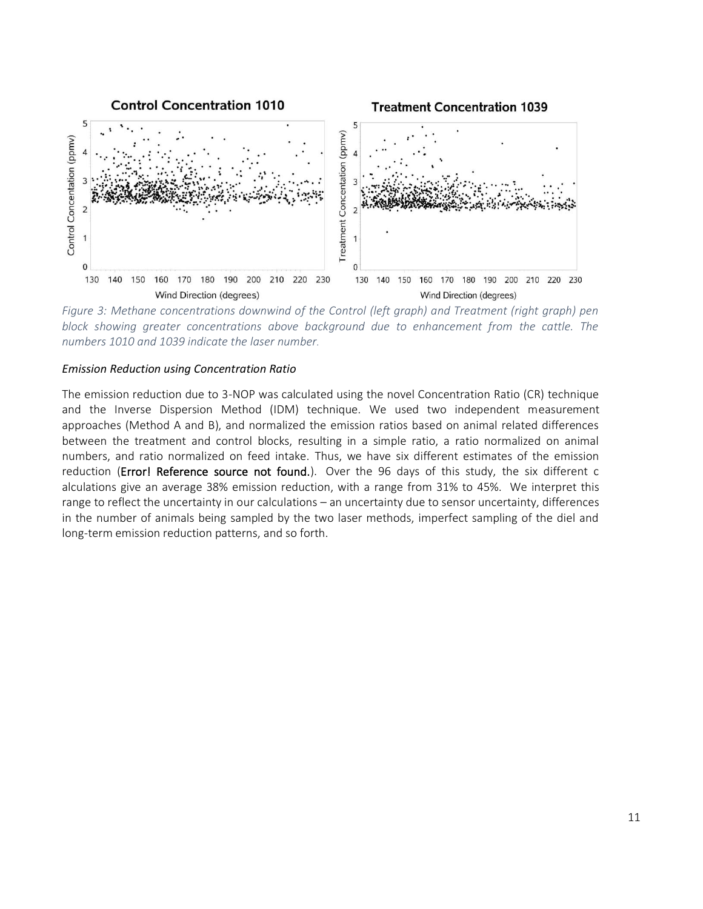

*Figure 3: Methane concentrations downwind of the Control (left graph) and Treatment (right graph) pen block showing greater concentrations above background due to enhancement from the cattle. The numbers 1010 and 1039 indicate the laser number.*

#### *Emission Reduction using Concentration Ratio*

The emission reduction due to 3-NOP was calculated using the novel Concentration Ratio (CR) technique and the Inverse Dispersion Method (IDM) technique. We used two independent measurement approaches (Method A and B), and normalized the emission ratios based on animal related differences between the treatment and control blocks, resulting in a simple ratio, a ratio normalized on animal numbers, and ratio normalized on feed intake. Thus, we have six different estimates of the emission reduction (Error! Reference source not found.). Over the 96 days of this study, the six different c alculations give an average 38% emission reduction, with a range from 31% to 45%. We interpret this range to reflect the uncertainty in our calculations – an uncertainty due to sensor uncertainty, differences in the number of animals being sampled by the two laser methods, imperfect sampling of the diel and long-term emission reduction patterns, and so forth.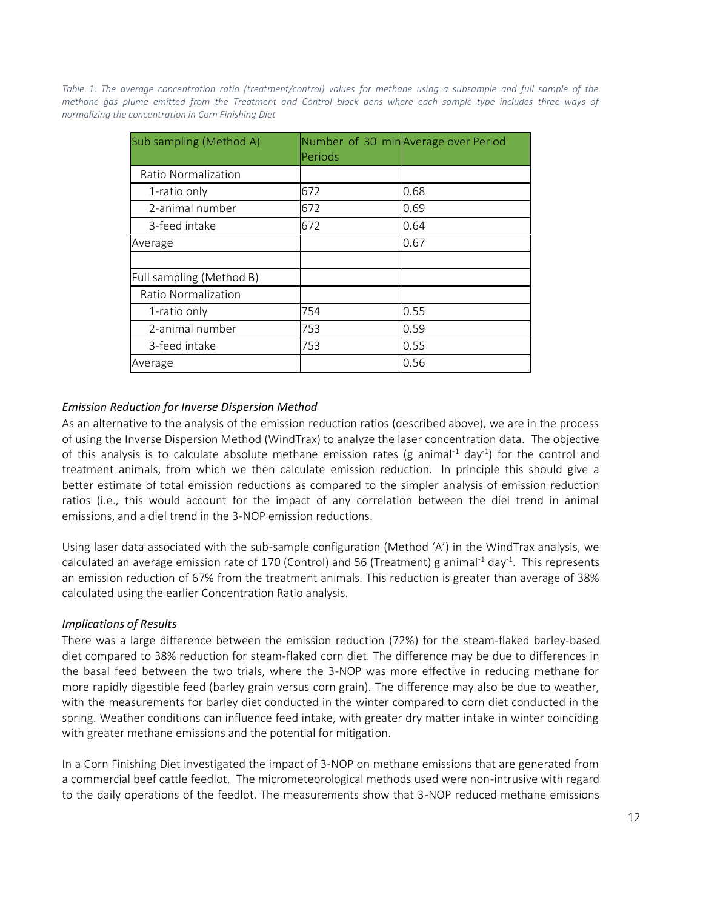*Table 1: The average concentration ratio (treatment/control) values for methane using a subsample and full sample of the methane gas plume emitted from the Treatment and Control block pens where each sample type includes three ways of normalizing the concentration in Corn Finishing Diet*

| Sub sampling (Method A)  | Periods | Number of 30 minAverage over Period |
|--------------------------|---------|-------------------------------------|
| Ratio Normalization      |         |                                     |
| 1-ratio only             | 672     | 0.68                                |
| 2-animal number          | 672     | 0.69                                |
| 3-feed intake            | 672     | 0.64                                |
| Average                  |         | 0.67                                |
|                          |         |                                     |
| Full sampling (Method B) |         |                                     |
| Ratio Normalization      |         |                                     |
| 1-ratio only             | 754     | 0.55                                |
| 2-animal number          | 753     | 0.59                                |
| 3-feed intake            | 753     | 0.55                                |
| Average                  |         | 0.56                                |

# *Emission Reduction for Inverse Dispersion Method*

As an alternative to the analysis of the emission reduction ratios (described above), we are in the process of using the Inverse Dispersion Method (WindTrax) to analyze the laser concentration data. The objective of this analysis is to calculate absolute methane emission rates (g animal<sup>-1</sup> day<sup>-1</sup>) for the control and treatment animals, from which we then calculate emission reduction. In principle this should give a better estimate of total emission reductions as compared to the simpler analysis of emission reduction ratios (i.e., this would account for the impact of any correlation between the diel trend in animal emissions, and a diel trend in the 3-NOP emission reductions.

Using laser data associated with the sub-sample configuration (Method 'A') in the WindTrax analysis, we calculated an average emission rate of 170 (Control) and 56 (Treatment) g animal<sup>-1</sup> day<sup>-1</sup>. This represents an emission reduction of 67% from the treatment animals. This reduction is greater than average of 38% calculated using the earlier Concentration Ratio analysis.

### *Implications of Results*

There was a large difference between the emission reduction (72%) for the steam-flaked barley-based diet compared to 38% reduction for steam-flaked corn diet. The difference may be due to differences in the basal feed between the two trials, where the 3-NOP was more effective in reducing methane for more rapidly digestible feed (barley grain versus corn grain). The difference may also be due to weather, with the measurements for barley diet conducted in the winter compared to corn diet conducted in the spring. Weather conditions can influence feed intake, with greater dry matter intake in winter coinciding with greater methane emissions and the potential for mitigation.

In a Corn Finishing Diet investigated the impact of 3-NOP on methane emissions that are generated from a commercial beef cattle feedlot. The micrometeorological methods used were non-intrusive with regard to the daily operations of the feedlot. The measurements show that 3-NOP reduced methane emissions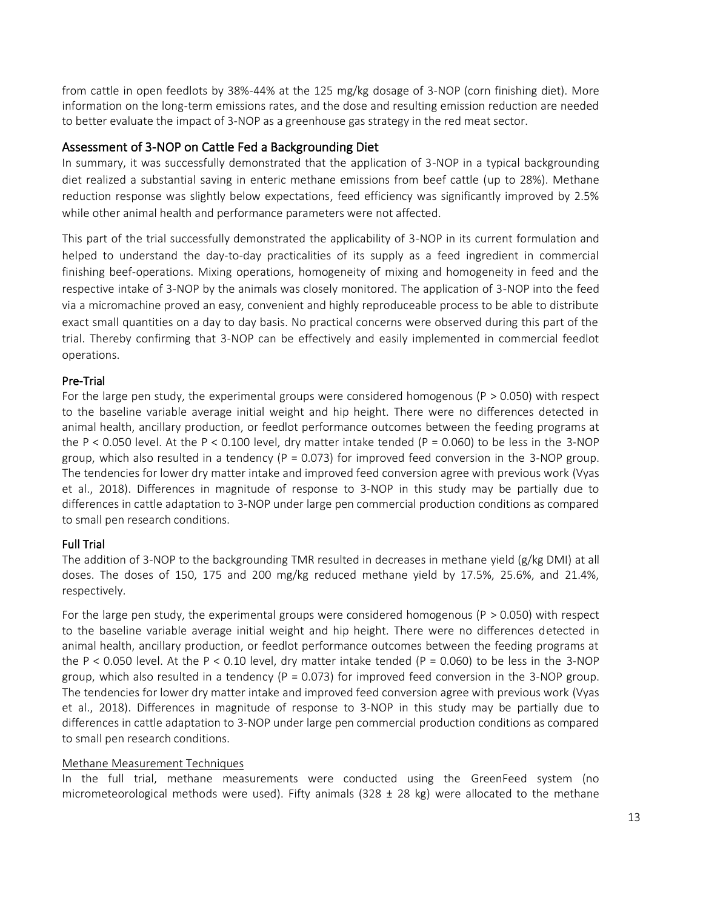from cattle in open feedlots by 38%-44% at the 125 mg/kg dosage of 3-NOP (corn finishing diet). More information on the long-term emissions rates, and the dose and resulting emission reduction are needed to better evaluate the impact of 3-NOP as a greenhouse gas strategy in the red meat sector.

# <span id="page-13-0"></span>Assessment of 3-NOP on Cattle Fed a Backgrounding Diet

In summary, it was successfully demonstrated that the application of 3-NOP in a typical backgrounding diet realized a substantial saving in enteric methane emissions from beef cattle (up to 28%). Methane reduction response was slightly below expectations, feed efficiency was significantly improved by 2.5% while other animal health and performance parameters were not affected.

This part of the trial successfully demonstrated the applicability of 3-NOP in its current formulation and helped to understand the day-to-day practicalities of its supply as a feed ingredient in commercial finishing beef-operations. Mixing operations, homogeneity of mixing and homogeneity in feed and the respective intake of 3-NOP by the animals was closely monitored. The application of 3-NOP into the feed via a micromachine proved an easy, convenient and highly reproduceable process to be able to distribute exact small quantities on a day to day basis. No practical concerns were observed during this part of the trial. Thereby confirming that 3-NOP can be effectively and easily implemented in commercial feedlot operations.

### <span id="page-13-1"></span>Pre-Trial

For the large pen study, the experimental groups were considered homogenous ( $P > 0.050$ ) with respect to the baseline variable average initial weight and hip height. There were no differences detected in animal health, ancillary production, or feedlot performance outcomes between the feeding programs at the P < 0.050 level. At the P < 0.100 level, dry matter intake tended (P = 0.060) to be less in the 3-NOP group, which also resulted in a tendency ( $P = 0.073$ ) for improved feed conversion in the 3-NOP group. The tendencies for lower dry matter intake and improved feed conversion agree with previous work (Vyas et al., 2018). Differences in magnitude of response to 3-NOP in this study may be partially due to differences in cattle adaptation to 3-NOP under large pen commercial production conditions as compared to small pen research conditions.

### <span id="page-13-2"></span>Full Trial

The addition of 3-NOP to the backgrounding TMR resulted in decreases in methane yield (g/kg DMI) at all doses. The doses of 150, 175 and 200 mg/kg reduced methane yield by 17.5%, 25.6%, and 21.4%, respectively.

For the large pen study, the experimental groups were considered homogenous ( $P > 0.050$ ) with respect to the baseline variable average initial weight and hip height. There were no differences detected in animal health, ancillary production, or feedlot performance outcomes between the feeding programs at the P < 0.050 level. At the P < 0.10 level, dry matter intake tended (P = 0.060) to be less in the 3-NOP group, which also resulted in a tendency ( $P = 0.073$ ) for improved feed conversion in the 3-NOP group. The tendencies for lower dry matter intake and improved feed conversion agree with previous work (Vyas et al., 2018). Differences in magnitude of response to 3-NOP in this study may be partially due to differences in cattle adaptation to 3-NOP under large pen commercial production conditions as compared to small pen research conditions.

#### <span id="page-13-3"></span>Methane Measurement Techniques

In the full trial, methane measurements were conducted using the GreenFeed system (no micrometeorological methods were used). Fifty animals (328  $\pm$  28 kg) were allocated to the methane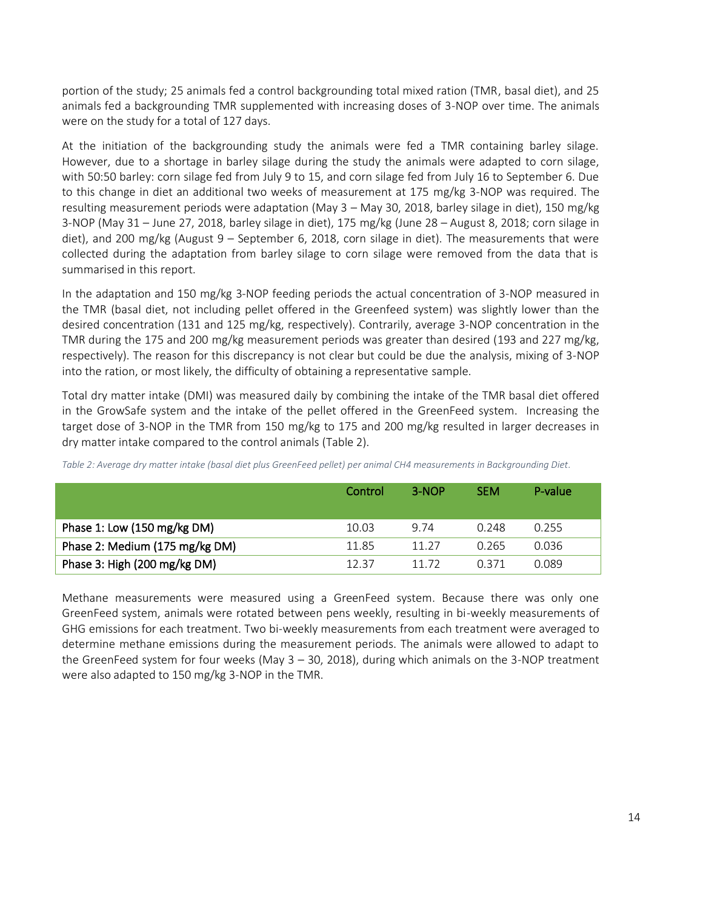portion of the study; 25 animals fed a control backgrounding total mixed ration (TMR, basal diet), and 25 animals fed a backgrounding TMR supplemented with increasing doses of 3-NOP over time. The animals were on the study for a total of 127 days.

At the initiation of the backgrounding study the animals were fed a TMR containing barley silage. However, due to a shortage in barley silage during the study the animals were adapted to corn silage, with 50:50 barley: corn silage fed from July 9 to 15, and corn silage fed from July 16 to September 6. Due to this change in diet an additional two weeks of measurement at 175 mg/kg 3-NOP was required. The resulting measurement periods were adaptation (May 3 – May 30, 2018, barley silage in diet), 150 mg/kg 3-NOP (May 31 – June 27, 2018, barley silage in diet), 175 mg/kg (June 28 – August 8, 2018; corn silage in diet), and 200 mg/kg (August 9 – September 6, 2018, corn silage in diet). The measurements that were collected during the adaptation from barley silage to corn silage were removed from the data that is summarised in this report.

In the adaptation and 150 mg/kg 3-NOP feeding periods the actual concentration of 3-NOP measured in the TMR (basal diet, not including pellet offered in the Greenfeed system) was slightly lower than the desired concentration (131 and 125 mg/kg, respectively). Contrarily, average 3-NOP concentration in the TMR during the 175 and 200 mg/kg measurement periods was greater than desired (193 and 227 mg/kg, respectively). The reason for this discrepancy is not clear but could be due the analysis, mixing of 3-NOP into the ration, or most likely, the difficulty of obtaining a representative sample.

Total dry matter intake (DMI) was measured daily by combining the intake of the TMR basal diet offered in the GrowSafe system and the intake of the pellet offered in the GreenFeed system. Increasing the target dose of 3-NOP in the TMR from 150 mg/kg to 175 and 200 mg/kg resulted in larger decreases in dry matter intake compared to the control animals (Table 2).

|                                | Control | $3-NOP$ | <b>SEM</b> | P-value |
|--------------------------------|---------|---------|------------|---------|
| Phase 1: Low (150 mg/kg DM)    | 10.03   | 9.74    | 0.248      | 0.255   |
| Phase 2: Medium (175 mg/kg DM) | 11.85   | 11 27   | 0.265      | 0.036   |
| Phase 3: High (200 mg/kg DM)   | 12.37   | 11 72   | በ 371      | 0.089   |

*Table 2: Average dry matter intake (basal diet plus GreenFeed pellet) per animal CH4 measurements in Backgrounding Diet.*

Methane measurements were measured using a GreenFeed system. Because there was only one GreenFeed system, animals were rotated between pens weekly, resulting in bi-weekly measurements of GHG emissions for each treatment. Two bi-weekly measurements from each treatment were averaged to determine methane emissions during the measurement periods. The animals were allowed to adapt to the GreenFeed system for four weeks (May 3 – 30, 2018), during which animals on the 3-NOP treatment were also adapted to 150 mg/kg 3-NOP in the TMR.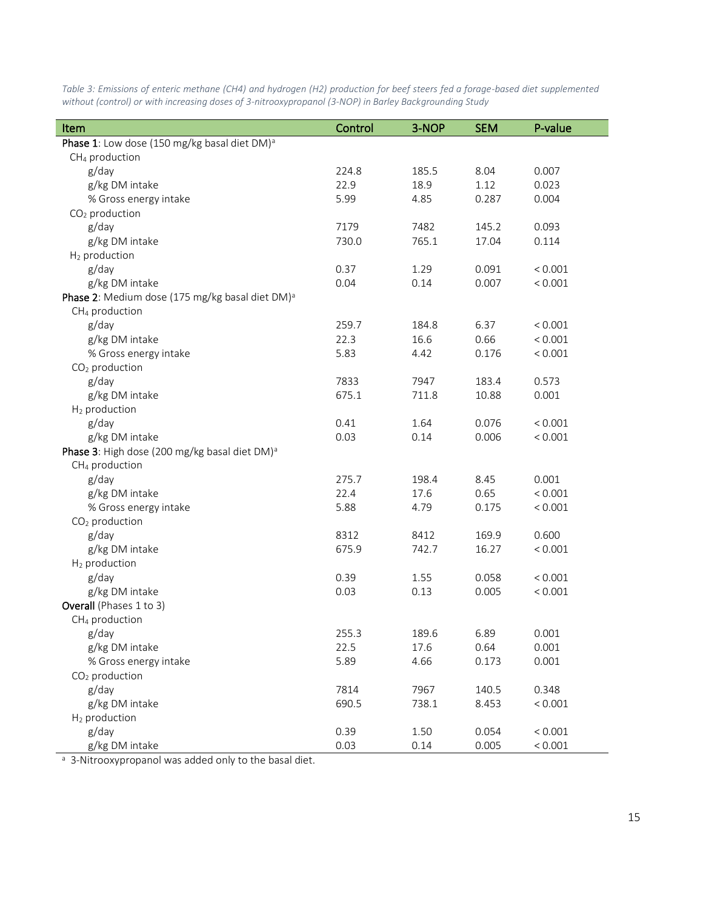| Item                                                        | Control | 3-NOP | <b>SEM</b> | P-value |
|-------------------------------------------------------------|---------|-------|------------|---------|
| Phase 1: Low dose (150 mg/kg basal diet DM) <sup>a</sup>    |         |       |            |         |
| CH <sub>4</sub> production                                  |         |       |            |         |
| g/day                                                       | 224.8   | 185.5 | 8.04       | 0.007   |
| g/kg DM intake                                              | 22.9    | 18.9  | 1.12       | 0.023   |
| % Gross energy intake                                       | 5.99    | 4.85  | 0.287      | 0.004   |
| $CO2$ production                                            |         |       |            |         |
| g/day                                                       | 7179    | 7482  | 145.2      | 0.093   |
| g/kg DM intake                                              | 730.0   | 765.1 | 17.04      | 0.114   |
| H <sub>2</sub> production                                   |         |       |            |         |
| g/day                                                       | 0.37    | 1.29  | 0.091      | < 0.001 |
| g/kg DM intake                                              | 0.04    | 0.14  | 0.007      | < 0.001 |
| Phase 2: Medium dose (175 mg/kg basal diet DM) <sup>a</sup> |         |       |            |         |
| CH <sub>4</sub> production                                  |         |       |            |         |
| g/day                                                       | 259.7   | 184.8 | 6.37       | < 0.001 |
| g/kg DM intake                                              | 22.3    | 16.6  | 0.66       | < 0.001 |
| % Gross energy intake                                       | 5.83    | 4.42  | 0.176      | < 0.001 |
| $CO2$ production                                            |         |       |            |         |
| g/day                                                       | 7833    | 7947  | 183.4      | 0.573   |
| g/kg DM intake                                              | 675.1   | 711.8 | 10.88      | 0.001   |
| H <sub>2</sub> production                                   |         |       |            |         |
| g/day                                                       | 0.41    | 1.64  | 0.076      | < 0.001 |
| g/kg DM intake                                              | 0.03    | 0.14  | 0.006      | < 0.001 |
| Phase 3: High dose (200 mg/kg basal diet DM) <sup>a</sup>   |         |       |            |         |
| CH <sub>4</sub> production                                  |         |       |            |         |
| g/day                                                       | 275.7   | 198.4 | 8.45       | 0.001   |
| g/kg DM intake                                              | 22.4    | 17.6  | 0.65       | < 0.001 |
| % Gross energy intake                                       | 5.88    | 4.79  | 0.175      | < 0.001 |
| $CO2$ production                                            |         |       |            |         |
| g/day                                                       | 8312    | 8412  | 169.9      | 0.600   |
| g/kg DM intake                                              | 675.9   | 742.7 | 16.27      | < 0.001 |
| H <sub>2</sub> production                                   |         |       |            |         |
| g/day                                                       | 0.39    | 1.55  | 0.058      | < 0.001 |
| g/kg DM intake                                              | 0.03    | 0.13  | 0.005      | < 0.001 |
| Overall (Phases 1 to 3)                                     |         |       |            |         |
| CH <sub>4</sub> production                                  |         |       |            |         |
| g/day                                                       | 255.3   | 189.6 | 6.89       | 0.001   |
| g/kg DM intake                                              | 22.5    | 17.6  | 0.64       | 0.001   |
| % Gross energy intake                                       | 5.89    | 4.66  | 0.173      | 0.001   |
| $CO2$ production                                            |         |       |            |         |
| g/day                                                       | 7814    | 7967  | 140.5      | 0.348   |
| g/kg DM intake                                              | 690.5   | 738.1 | 8.453      | < 0.001 |
| H <sub>2</sub> production                                   |         |       |            |         |
| g/day                                                       | 0.39    | 1.50  | 0.054      | < 0.001 |
| g/kg DM intake                                              | 0.03    | 0.14  | 0.005      | < 0.001 |

*Table 3: Emissions of enteric methane (CH4) and hydrogen (H2) production for beef steers fed a forage-based diet supplemented without (control) or with increasing doses of 3-nitrooxypropanol (3-NOP) in Barley Backgrounding Study*

<sup>a</sup> 3-Nitrooxypropanol was added only to the basal diet.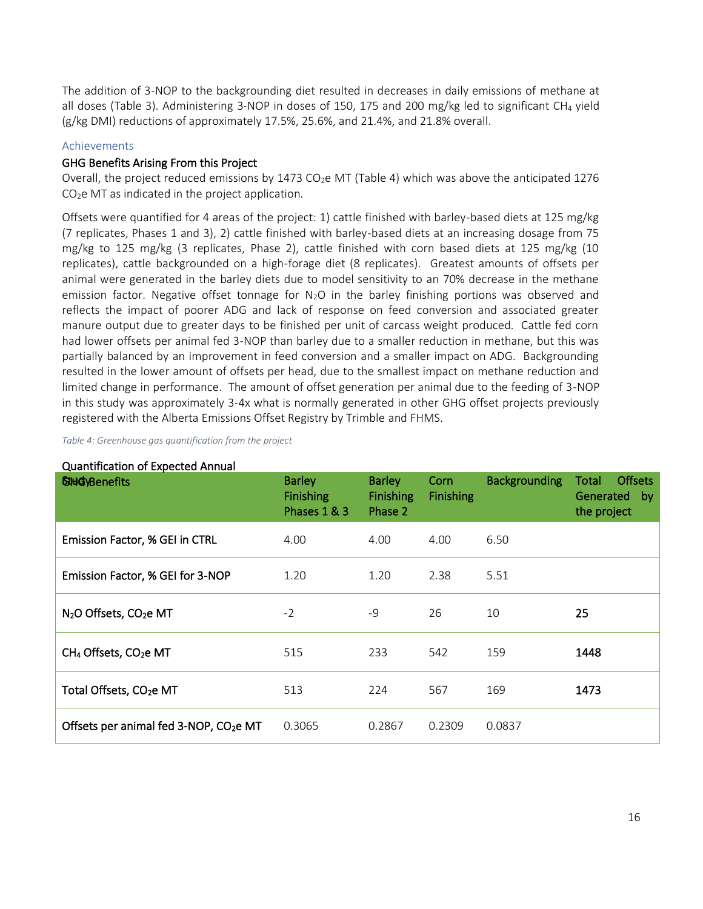The addition of 3-NOP to the backgrounding diet resulted in decreases in daily emissions of methane at all doses (Table 3). Administering 3-NOP in doses of 150, 175 and 200 mg/kg led to significant CH<sub>4</sub> yield (g/kg DMI) reductions of approximately 17.5%, 25.6%, and 21.4%, and 21.8% overall.

# <span id="page-16-0"></span>Achievements

### <span id="page-16-1"></span>GHG Benefits Arising From this Project

Overall, the project reduced emissions by 1473 CO<sub>2</sub>e MT (Table 4) which was above the anticipated 1276  $CO<sub>2</sub>e$  MT as indicated in the project application.

Offsets were quantified for 4 areas of the project: 1) cattle finished with barley-based diets at 125 mg/kg (7 replicates, Phases 1 and 3), 2) cattle finished with barley-based diets at an increasing dosage from 75 mg/kg to 125 mg/kg (3 replicates, Phase 2), cattle finished with corn based diets at 125 mg/kg (10 replicates), cattle backgrounded on a high-forage diet (8 replicates). Greatest amounts of offsets per animal were generated in the barley diets due to model sensitivity to an 70% decrease in the methane emission factor. Negative offset tonnage for  $N_2O$  in the barley finishing portions was observed and reflects the impact of poorer ADG and lack of response on feed conversion and associated greater manure output due to greater days to be finished per unit of carcass weight produced. Cattle fed corn had lower offsets per animal fed 3-NOP than barley due to a smaller reduction in methane, but this was partially balanced by an improvement in feed conversion and a smaller impact on ADG. Backgrounding resulted in the lower amount of offsets per head, due to the smallest impact on methane reduction and limited change in performance. The amount of offset generation per animal due to the feeding of 3-NOP in this study was approximately 3-4x what is normally generated in other GHG offset projects previously registered with the Alberta Emissions Offset Registry by Trimble and FHMS.

*Table 4: Greenhouse gas quantification from the project*

| <u>2001.01.1000101.01 c.1.0000000 / 11.1.100.</u><br><b>SHIG</b> yBenefits | <b>Barley</b><br><b>Finishing</b><br>Phases 1 & 3 | <b>Barley</b><br><b>Finishing</b><br>Phase 2 | Corn<br><b>Finishing</b> | <b>Backgrounding</b> | <b>Offsets</b><br><b>Total</b><br>Generated by<br>the project |
|----------------------------------------------------------------------------|---------------------------------------------------|----------------------------------------------|--------------------------|----------------------|---------------------------------------------------------------|
| Emission Factor, % GEI in CTRL                                             | 4.00                                              | 4.00                                         | 4.00                     | 6.50                 |                                                               |
| Emission Factor, % GEI for 3-NOP                                           | 1.20                                              | 1.20                                         | 2.38                     | 5.51                 |                                                               |
| N <sub>2</sub> O Offsets, CO <sub>2</sub> e MT                             | $-2$                                              | $-9$                                         | 26                       | 10                   | 25                                                            |
| CH <sub>4</sub> Offsets, CO <sub>2</sub> e MT                              | 515                                               | 233                                          | 542                      | 159                  | 1448                                                          |
| Total Offsets, CO <sub>2</sub> e MT                                        | 513                                               | 224                                          | 567                      | 169                  | 1473                                                          |
| Offsets per animal fed 3-NOP, CO <sub>2</sub> e MT                         | 0.3065                                            | 0.2867                                       | 0.2309                   | 0.0837               |                                                               |

### <span id="page-16-2"></span>Quantification of Expected Annual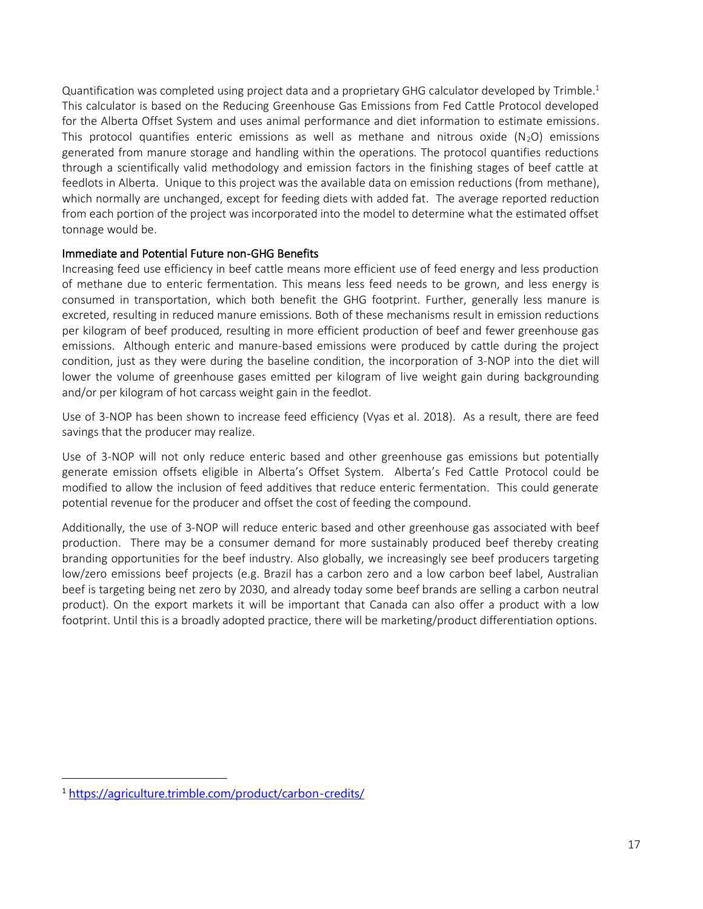Quantification was completed using project data and a proprietary GHG calculator developed by Trimble. 1 This calculator is based on the Reducing Greenhouse Gas Emissions from Fed Cattle Protocol developed for the Alberta Offset System and uses animal performance and diet information to estimate emissions. This protocol quantifies enteric emissions as well as methane and nitrous oxide  $(N_2O)$  emissions generated from manure storage and handling within the operations. The protocol quantifies reductions through a scientifically valid methodology and emission factors in the finishing stages of beef cattle at feedlots in Alberta. Unique to this project was the available data on emission reductions (from methane), which normally are unchanged, except for feeding diets with added fat. The average reported reduction from each portion of the project was incorporated into the model to determine what the estimated offset tonnage would be.

# <span id="page-17-0"></span>Immediate and Potential Future non-GHG Benefits

Increasing feed use efficiency in beef cattle means more efficient use of feed energy and less production of methane due to enteric fermentation. This means less feed needs to be grown, and less energy is consumed in transportation, which both benefit the GHG footprint. Further, generally less manure is excreted, resulting in reduced manure emissions. Both of these mechanisms result in emission reductions per kilogram of beef produced, resulting in more efficient production of beef and fewer greenhouse gas emissions. Although enteric and manure-based emissions were produced by cattle during the project condition, just as they were during the baseline condition, the incorporation of 3-NOP into the diet will lower the volume of greenhouse gases emitted per kilogram of live weight gain during backgrounding and/or per kilogram of hot carcass weight gain in the feedlot.

Use of 3-NOP has been shown to increase feed efficiency (Vyas et al. 2018). As a result, there are feed savings that the producer may realize.

Use of 3-NOP will not only reduce enteric based and other greenhouse gas emissions but potentially generate emission offsets eligible in Alberta's Offset System. Alberta's Fed Cattle Protocol could be modified to allow the inclusion of feed additives that reduce enteric fermentation. This could generate potential revenue for the producer and offset the cost of feeding the compound.

Additionally, the use of 3-NOP will reduce enteric based and other greenhouse gas associated with beef production. There may be a consumer demand for more sustainably produced beef thereby creating branding opportunities for the beef industry. Also globally, we increasingly see beef producers targeting low/zero emissions beef projects (e.g. Brazil has a carbon zero and a low carbon beef label, Australian beef is targeting being net zero by 2030, and already today some beef brands are selling a carbon neutral product). On the export markets it will be important that Canada can also offer a product with a low footprint. Until this is a broadly adopted practice, there will be marketing/product differentiation options.

<sup>1</sup> <https://agriculture.trimble.com/product/carbon-credits/>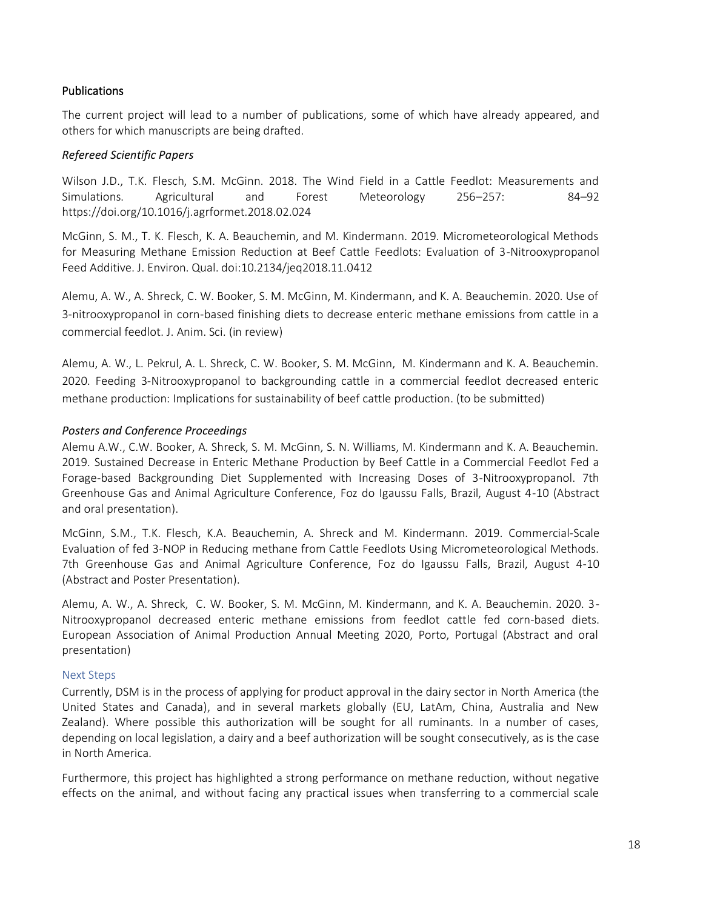# Publications

The current project will lead to a number of publications, some of which have already appeared, and others for which manuscripts are being drafted.

### *Refereed Scientific Papers*

Wilson J.D., T.K. Flesch, S.M. McGinn. 2018. The Wind Field in a Cattle Feedlot: Measurements and Simulations. Agricultural and Forest Meteorology 256–257: 84–92 <https://doi.org/10.1016/j.agrformet.2018.02.024>

McGinn, S. M., T. K. Flesch, K. A. Beauchemin, and M. Kindermann. 2019. Micrometeorological Methods for Measuring Methane Emission Reduction at Beef Cattle Feedlots: Evaluation of 3-Nitrooxypropanol Feed Additive. J. Environ. Qual. doi:10.2134/jeq2018.11.0412

Alemu, A. W., A. Shreck, C. W. Booker, S. M. McGinn, M. Kindermann, and K. A. Beauchemin. 2020. Use of 3-nitrooxypropanol in corn-based finishing diets to decrease enteric methane emissions from cattle in a commercial feedlot. J. Anim. Sci. (in review)

Alemu, A. W., L. Pekrul, A. L. Shreck, C. W. Booker, S. M. McGinn, M. Kindermann and K. A. Beauchemin. 2020. Feeding 3-Nitrooxypropanol to backgrounding cattle in a commercial feedlot decreased enteric methane production: Implications for sustainability of beef cattle production. (to be submitted)

# *Posters and Conference Proceedings*

Alemu A.W., C.W. Booker, A. Shreck, S. M. McGinn, S. N. Williams, M. Kindermann and K. A. Beauchemin. 2019. Sustained Decrease in Enteric Methane Production by Beef Cattle in a Commercial Feedlot Fed a Forage-based Backgrounding Diet Supplemented with Increasing Doses of 3-Nitrooxypropanol. 7th Greenhouse Gas and Animal Agriculture Conference, Foz do Igaussu Falls, Brazil, August 4-10 (Abstract and oral presentation).

McGinn, S.M., T.K. Flesch, K.A. Beauchemin, A. Shreck and M. Kindermann. 2019. Commercial-Scale Evaluation of fed 3-NOP in Reducing methane from Cattle Feedlots Using Micrometeorological Methods. 7th Greenhouse Gas and Animal Agriculture Conference, Foz do Igaussu Falls, Brazil, August 4-10 (Abstract and Poster Presentation).

Alemu, A. W., A. Shreck, C. W. Booker, S. M. McGinn, M. Kindermann, and K. A. Beauchemin. 2020. 3- Nitrooxypropanol decreased enteric methane emissions from feedlot cattle fed corn-based diets. European Association of Animal Production Annual Meeting 2020, Porto, Portugal (Abstract and oral presentation)

### <span id="page-18-0"></span>Next Steps

Currently, DSM is in the process of applying for product approval in the dairy sector in North America (the United States and Canada), and in several markets globally (EU, LatAm, China, Australia and New Zealand). Where possible this authorization will be sought for all ruminants. In a number of cases, depending on local legislation, a dairy and a beef authorization will be sought consecutively, as is the case in North America.

Furthermore, this project has highlighted a strong performance on methane reduction, without negative effects on the animal, and without facing any practical issues when transferring to a commercial scale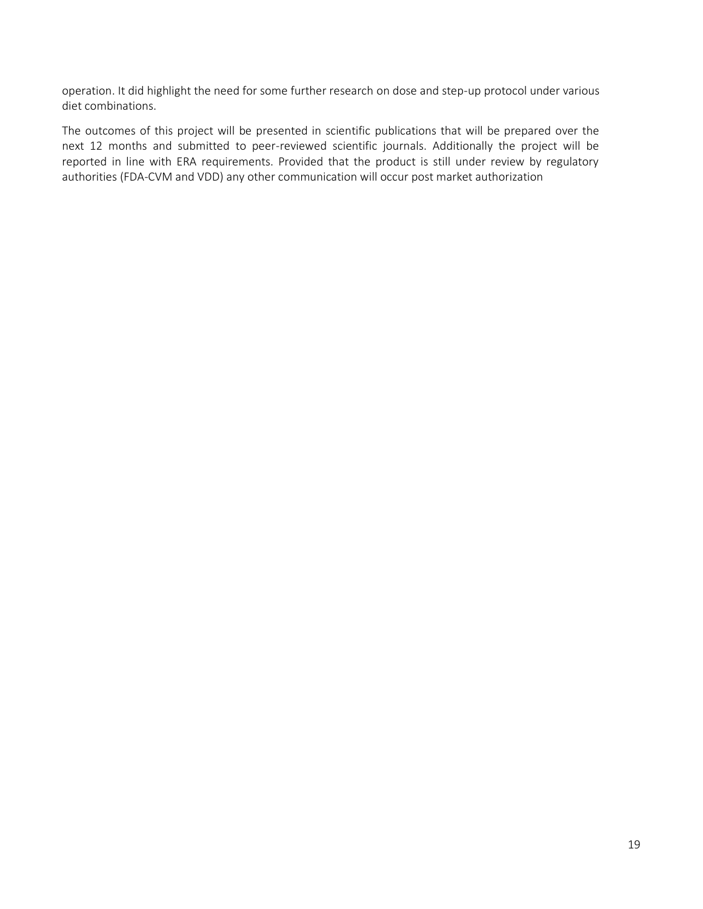operation. It did highlight the need for some further research on dose and step-up protocol under various diet combinations.

<span id="page-19-0"></span>The outcomes of this project will be presented in scientific publications that will be prepared over the next 12 months and submitted to peer-reviewed scientific journals. Additionally the project will be reported in line with ERA requirements. Provided that the product is still under review by regulatory authorities (FDA-CVM and VDD) any other communication will occur post market authorization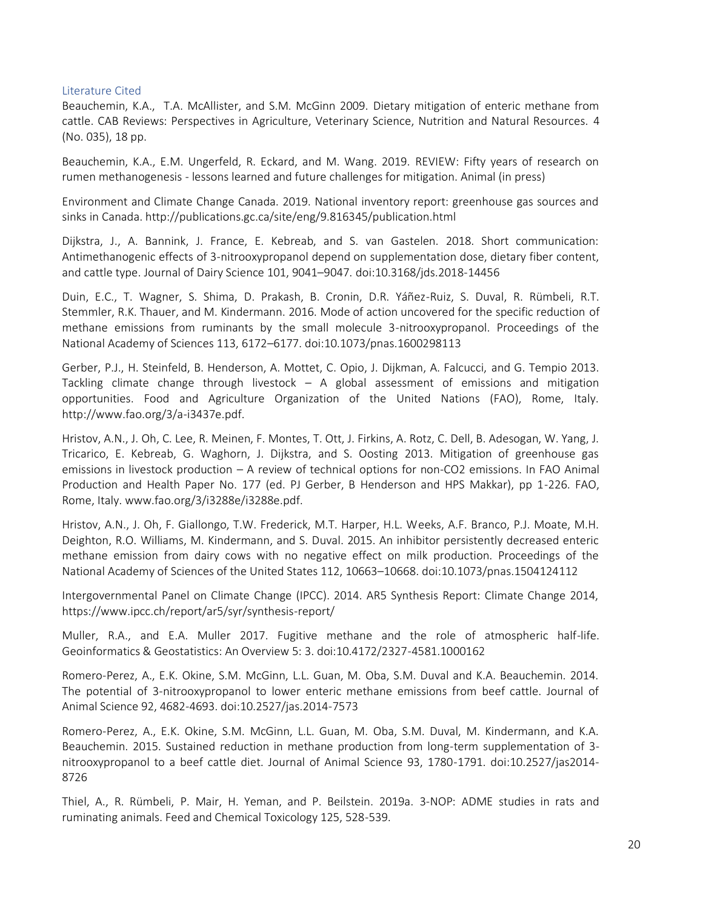#### Literature Cited

Beauchemin, K.A., T.A. McAllister, and S.M. McGinn 2009. Dietary mitigation of enteric methane from cattle. CAB Reviews: Perspectives in Agriculture, Veterinary Science, Nutrition and Natural Resources. 4 (No. 035), 18 pp.

Beauchemin, K.A., E.M. Ungerfeld, R. Eckard, and M. Wang. 2019. REVIEW: Fifty years of research on rumen methanogenesis - lessons learned and future challenges for mitigation. Animal (in press)

Environment and Climate Change Canada. 2019. National inventory report: greenhouse gas sources and sinks in Canada. http://publications.gc.ca/site/eng/9.816345/publication.html

Dijkstra, J., A. Bannink, J. France, E. Kebreab, and S. van Gastelen. 2018. Short communication: Antimethanogenic effects of 3-nitrooxypropanol depend on supplementation dose, dietary fiber content, and cattle type. Journal of Dairy Science 101, 9041–9047. doi:10.3168/jds.2018-14456

Duin, E.C., T. Wagner, S. Shima, D. Prakash, B. Cronin, D.R. Yáñez-Ruiz, S. Duval, R. Rümbeli, R.T. Stemmler, R.K. Thauer, and M. Kindermann. 2016. Mode of action uncovered for the specific reduction of methane emissions from ruminants by the small molecule 3-nitrooxypropanol. Proceedings of the National Academy of Sciences 113, 6172–6177. doi:10.1073/pnas.1600298113

Gerber, P.J., H. Steinfeld, B. Henderson, A. Mottet, C. Opio, J. Dijkman, A. Falcucci, and G. Tempio 2013. Tackling climate change through livestock – A global assessment of emissions and mitigation opportunities. Food and Agriculture Organization of the United Nations (FAO), Rome, Italy. http://www.fao.org/3/a-i3437e.pdf.

Hristov, A.N., J. Oh, C. Lee, R. Meinen, F. Montes, T. Ott, J. Firkins, A. Rotz, C. Dell, B. Adesogan, W. Yang, J. Tricarico, E. Kebreab, G. Waghorn, J. Dijkstra, and S. Oosting 2013. Mitigation of greenhouse gas emissions in livestock production – A review of technical options for non-CO2 emissions. In FAO Animal Production and Health Paper No. 177 (ed. PJ Gerber, B Henderson and HPS Makkar), pp 1-226. FAO, Rome, Italy. www.fao.org/3/i3288e/i3288e.pdf.

Hristov, A.N., J. Oh, F. Giallongo, T.W. Frederick, M.T. Harper, H.L. Weeks, A.F. Branco, P.J. Moate, M.H. Deighton, R.O. Williams, M. Kindermann, and S. Duval. 2015. An inhibitor persistently decreased enteric methane emission from dairy cows with no negative effect on milk production. Proceedings of the National Academy of Sciences of the United States 112, 10663–10668. doi:10.1073/pnas.1504124112

Intergovernmental Panel on Climate Change (IPCC). 2014. AR5 Synthesis Report: Climate Change 2014, https://www.ipcc.ch/report/ar5/syr/synthesis-report/

Muller, R.A., and E.A. Muller 2017. Fugitive methane and the role of atmospheric half-life. Geoinformatics & Geostatistics: An Overview 5: 3. doi:10.4172/2327-4581.1000162

Romero-Perez, A., E.K. Okine, S.M. McGinn, L.L. Guan, M. Oba, S.M. Duval and K.A. Beauchemin. 2014. The potential of 3-nitrooxypropanol to lower enteric methane emissions from beef cattle. Journal of Animal Science 92, 4682-4693. doi:10.2527/jas.2014-7573

Romero-Perez, A., E.K. Okine, S.M. McGinn, L.L. Guan, M. Oba, S.M. Duval, M. Kindermann, and K.A. Beauchemin. 2015. Sustained reduction in methane production from long-term supplementation of 3 nitrooxypropanol to a beef cattle diet. Journal of Animal Science 93, 1780-1791. doi:10.2527/jas2014- 8726

Thiel, A., R. Rümbeli, P. Mair, H. Yeman, and P. Beilstein. 2019a. 3-NOP: ADME studies in rats and ruminating animals. Feed and Chemical Toxicology 125, 528-539.